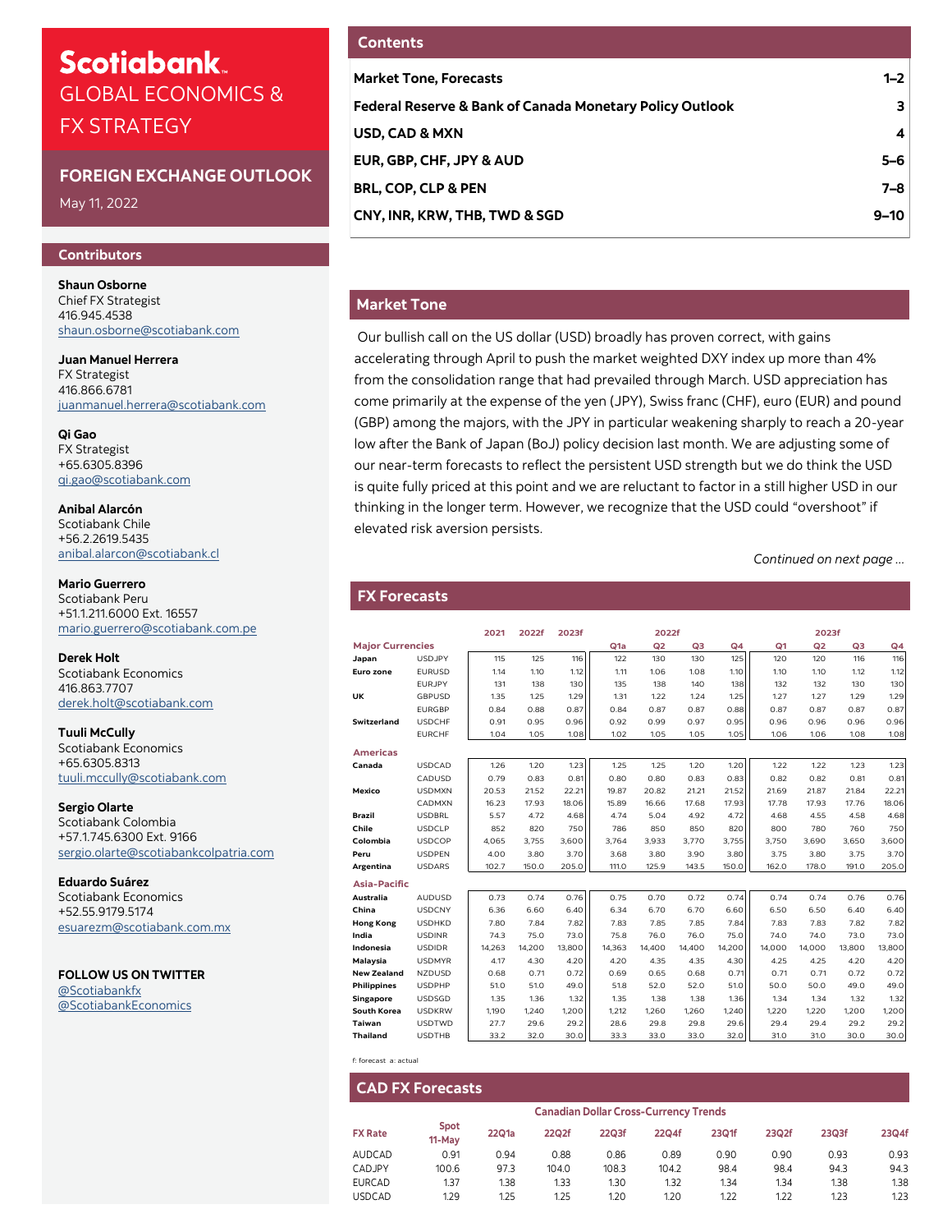# **Scotiabank** GLOBAL ECONOMICS & FX STRATEGY

# **FOREIGN EXCHANGE OUTLOOK**

May 11, 2022

## **Contributors**

**Shaun Osborne**  Chief FX Strategist 416.945.4538 [shaun.osborne@scotiabank.com](mailto:shaun.osborne@scotiabank.com)

**Juan Manuel Herrera** FX Strategist 416.866.6781 [juanmanuel.herrera@scotiabank.com](mailto:juanmanuel.herrera@scotiabank.com)

**Qi Gao** FX Strategist +65.6305.8396 qi.gao@scotiabank.com

**Anibal Alarcón** Scotiabank Chile +56.2.2619.5435 anibal.alarcon@scotiabank.cl

**Mario Guerrero**  Scotiabank Peru +51.1.211.6000 Ext. 16557 mario.guerrero@scotiabank.com.pe

**Derek Holt** Scotiabank Economics 416.863.7707 derek.holt@scotiabank.com

**Tuuli McCully**  Scotiabank Economics +65.6305.8313 tuuli.mccully@scotiabank.com

**Sergio Olarte**  Scotiabank Colombia +57.1.745.6300 Ext. 9166 sergio.olarte@scotiabankcolpatria.com

**Eduardo Suárez** Scotiabank Economics +52.55.9179.5174 esuarezm@scotiabank.com.mx

**FOLLOW US ON TWITTER**  [@Scotiabankfx](https://twitter.com/Scotiabankfx) [@ScotiabankEconomics](https://twitter.com/Scotiabankfx)

# **Contents**

| <b>Market Tone, Forecasts</b>                            | $1 - 2$  |
|----------------------------------------------------------|----------|
| Federal Reserve & Bank of Canada Monetary Policy Outlook | з.       |
| USD, CAD & MXN                                           | 4        |
| EUR, GBP, CHF, JPY & AUD                                 | $5 - 6$  |
| <b>BRL, COP, CLP &amp; PEN</b>                           | 7–8      |
| CNY, INR, KRW, THB, TWD & SGD                            | $9 - 10$ |
|                                                          |          |

# **Market Tone**

Our bullish call on the US dollar (USD) broadly has proven correct, with gains accelerating through April to push the market weighted DXY index up more than 4% from the consolidation range that had prevailed through March. USD appreciation has come primarily at the expense of the yen (JPY), Swiss franc (CHF), euro (EUR) and pound (GBP) among the majors, with the JPY in particular weakening sharply to reach a 20-year low after the Bank of Japan (BoJ) policy decision last month. We are adjusting some of our near-term forecasts to reflect the persistent USD strength but we do think the USD is quite fully priced at this point and we are reluctant to factor in a still higher USD in our thinking in the longer term. However, we recognize that the USD could "overshoot" if elevated risk aversion persists.

*Continued on next page ...*

# **FX Forecasts**

**Ame** 

Asia

| <b>FX Forecasts</b>     |               |        |        |        |                  |                |        |                |                |                |        |                |
|-------------------------|---------------|--------|--------|--------|------------------|----------------|--------|----------------|----------------|----------------|--------|----------------|
|                         |               |        |        |        |                  |                |        |                |                |                |        |                |
|                         |               |        |        |        |                  |                |        |                |                |                |        |                |
|                         |               | 2021   | 2022f  | 2023f  |                  | 2022f          |        |                |                | 2023f          |        |                |
| <b>Major Currencies</b> |               |        |        |        | Q <sub>1</sub> a | Q <sub>2</sub> | Q3     | Q <sub>4</sub> | Q <sub>1</sub> | Q <sub>2</sub> | Q3     | Q <sub>4</sub> |
| Japan                   | <b>USDJPY</b> | 115    | 125    | 116    | 122              | 130            | 130    | 125            | 120            | 120            | 116    | 116            |
| Euro zone               | <b>EURUSD</b> | 1.14   | 1.10   | 1.12   | 1.11             | 1.06           | 1.08   | 1.10           | 1.10           | 1.10           | 1.12   | 1.12           |
|                         | <b>EURJPY</b> | 131    | 138    | 130    | 135              | 138            | 140    | 138            | 132            | 132            | 130    | 130            |
| UK                      | <b>GBPUSD</b> | 1.35   | 1.25   | 1.29   | 1.31             | 1.22           | 1.24   | 1.25           | 1.27           | 1.27           | 1.29   | 1.29           |
|                         | <b>EURGBP</b> | 0.84   | 0.88   | 0.87   | 0.84             | 0.87           | 0.87   | 0.88           | 0.87           | 0.87           | 0.87   | 0.87           |
| Switzerland             | <b>USDCHF</b> | 0.91   | 0.95   | 0.96   | 0.92             | 0.99           | 0.97   | 0.95           | 0.96           | 0.96           | 0.96   | 0.96           |
|                         | <b>EURCHF</b> | 1.04   | 1.05   | 1.08   | 1.02             | 1.05           | 1.05   | 1.05           | 1.06           | 1.06           | 1.08   | 1.08           |
| <b>Americas</b>         |               |        |        |        |                  |                |        |                |                |                |        |                |
| Canada                  | <b>USDCAD</b> | 1.26   | 1.20   | 1.23   | 1.25             | 1.25           | 1.20   | 1.20           | 1.22           | 1.22           | 1.23   | 1.23           |
|                         | CADUSD        | 0.79   | 0.83   | 0.81   | 0.80             | 0.80           | 0.83   | 0.83           | 0.82           | 0.82           | 0.81   | 0.81           |
| Mexico                  | <b>USDMXN</b> | 20.53  | 21.52  | 22.21  | 19.87            | 20.82          | 21.21  | 21.52          | 21.69          | 21.87          | 21.84  | 22.21          |
|                         | CADMXN        | 16.23  | 17.93  | 18.06  | 15.89            | 16.66          | 17.68  | 17.93          | 17.78          | 17.93          | 17.76  | 18.06          |
| Brazil                  | <b>USDBRL</b> | 5.57   | 4.72   | 4.68   | 4.74             | 5.04           | 4.92   | 4.72           | 4.68           | 4.55           | 4.58   | 4.68           |
| Chile                   | <b>USDCLP</b> | 852    | 820    | 750    | 786              | 850            | 850    | 820            | 800            | 780            | 760    | 750            |
| Colombia                | <b>USDCOP</b> | 4,065  | 3,755  | 3,600  | 3,764            | 3,933          | 3,770  | 3,755          | 3,750          | 3,690          | 3,650  | 3,600          |
| Peru                    | <b>USDPEN</b> | 4.00   | 3.80   | 3.70   | 3.68             | 3.80           | 3.90   | 3.80           | 3.75           | 3.80           | 3.75   | 3.70           |
| Argentina               | <b>USDARS</b> | 102.7  | 150.0  | 205.0  | 111.0            | 125.9          | 143.5  | 150.0          | 162.0          | 178.0          | 191.0  | 205.0          |
| Asia-Pacific            |               |        |        |        |                  |                |        |                |                |                |        |                |
| Australia               | <b>AUDUSD</b> | 0.73   | 0.74   | 0.76   | 0.75             | 0.70           | 0.72   | 0.74           | 0.74           | 0.74           | 0.76   | 0.76           |
| China                   | <b>USDCNY</b> | 6.36   | 6.60   | 6.40   | 6.34             | 6.70           | 6.70   | 6.60           | 6.50           | 6.50           | 6.40   | 6.40           |
| <b>Hong Kong</b>        | <b>USDHKD</b> | 7.80   | 7.84   | 7.82   | 7.83             | 7.85           | 7.85   | 7.84           | 7.83           | 7.83           | 7.82   | 7.82           |
| India                   | <b>USDINR</b> | 74.3   | 75.0   | 73.0   | 75.8             | 76.0           | 76.0   | 75.0           | 74.0           | 74.0           | 73.0   | 73.0           |
| Indonesia               | <b>USDIDR</b> | 14,263 | 14,200 | 13,800 | 14,363           | 14,400         | 14,400 | 14,200         | 14.000         | 14,000         | 13,800 | 13,800         |
| Malaysia                | <b>USDMYR</b> | 4.17   | 4.30   | 4.20   | 4.20             | 4.35           | 4.35   | 4.30           | 4.25           | 4.25           | 4.20   | 4.20           |
| <b>New Zealand</b>      | <b>NZDUSD</b> | 0.68   | 0.71   | 0.72   | 0.69             | 0.65           | 0.68   | 0.71           | 0.71           | 0.71           | 0.72   | 0.72           |
| Philippines             | <b>USDPHP</b> | 51.0   | 51.0   | 49.0   | 51.8             | 52.0           | 52.0   | 51.0           | 50.0           | 50.0           | 49.0   | 49.0           |
| <b>Singapore</b>        | <b>USDSGD</b> | 1.35   | 1.36   | 1.32   | 1.35             | 1.38           | 1.38   | 1.36           | 1.34           | 1.34           | 1.32   | 1.32           |
| South Korea             | <b>USDKRW</b> | 1,190  | 1,240  | 1.200  | 1,212            | 1.260          | 1,260  | 1.240          | 1.220          | 1,220          | 1,200  | 1,200          |
| Taiwan                  | <b>USDTWD</b> | 27.7   | 29.6   | 29.2   | 28.6             | 29.8           | 29.8   | 29.6           | 29.4           | 29.4           | 29.2   | 29.2           |
| Thailand                | <b>USDTHB</b> | 33.2   | 32.0   | 30.0   | 33.3             | 33.0           | 33.0   | 32.0           | 31.0           | 31.0           | 30.0   | 30.0           |
|                         |               |        |        |        |                  |                |        |                |                |                |        |                |

f: forecast a: actual

|                | <b>CAD FX Forecasts</b> |       |       |       |                                              |       |       |       |       |
|----------------|-------------------------|-------|-------|-------|----------------------------------------------|-------|-------|-------|-------|
|                |                         |       |       |       | <b>Canadian Dollar Cross-Currency Trends</b> |       |       |       |       |
| <b>FX Rate</b> | <b>Spot</b><br>11-May   | 22Q1a | 22Q2f | 22Q3f | 22Q4f                                        | 23Q1f | 23Q2f | 23Q3f | 23Q4f |
| AUDCAD         | 0.91                    | 0.94  | 0.88  | 0.86  | 0.89                                         | 0.90  | 0.90  | 0.93  | 0.93  |
| <b>CADJPY</b>  | 100.6                   | 97.3  | 104.0 | 108.3 | 104.2                                        | 98.4  | 98.4  | 94.3  | 94.3  |
| <b>EURCAD</b>  | 1.37                    | 1.38  | 1.33  | 1.30  | 1.32                                         | 1.34  | 1.34  | 1.38  | 1.38  |
| <b>USDCAD</b>  | 1.29                    | 1.25  | 1.25  | 1.20  | 1.20                                         | 1.22  | 1.22  | 1.23  | 1.23  |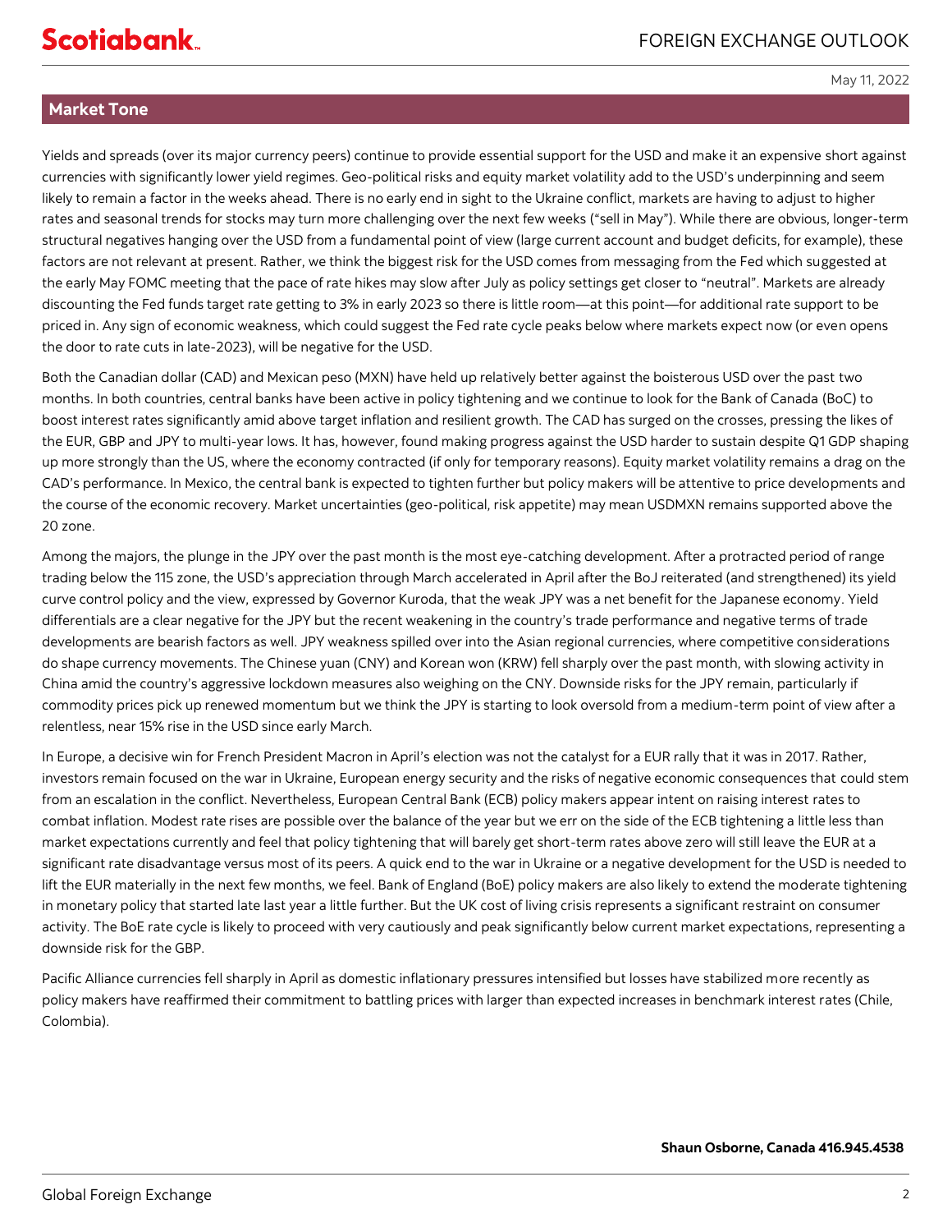# **Market Tone**

Yields and spreads (over its major currency peers) continue to provide essential support for the USD and make it an expensive short against currencies with significantly lower yield regimes. Geo-political risks and equity market volatility add to the USD's underpinning and seem likely to remain a factor in the weeks ahead. There is no early end in sight to the Ukraine conflict, markets are having to adjust to higher rates and seasonal trends for stocks may turn more challenging over the next few weeks ("sell in May"). While there are obvious, longer-term structural negatives hanging over the USD from a fundamental point of view (large current account and budget deficits, for example), these factors are not relevant at present. Rather, we think the biggest risk for the USD comes from messaging from the Fed which suggested at the early May FOMC meeting that the pace of rate hikes may slow after July as policy settings get closer to "neutral". Markets are already discounting the Fed funds target rate getting to 3% in early 2023 so there is little room—at this point—for additional rate support to be priced in. Any sign of economic weakness, which could suggest the Fed rate cycle peaks below where markets expect now (or even opens the door to rate cuts in late-2023), will be negative for the USD.

Both the Canadian dollar (CAD) and Mexican peso (MXN) have held up relatively better against the boisterous USD over the past two months. In both countries, central banks have been active in policy tightening and we continue to look for the Bank of Canada (BoC) to boost interest rates significantly amid above target inflation and resilient growth. The CAD has surged on the crosses, pressing the likes of the EUR, GBP and JPY to multi-year lows. It has, however, found making progress against the USD harder to sustain despite Q1 GDP shaping up more strongly than the US, where the economy contracted (if only for temporary reasons). Equity market volatility remains a drag on the CAD's performance. In Mexico, the central bank is expected to tighten further but policy makers will be attentive to price developments and the course of the economic recovery. Market uncertainties (geo-political, risk appetite) may mean USDMXN remains supported above the 20 zone.

Among the majors, the plunge in the JPY over the past month is the most eye-catching development. After a protracted period of range trading below the 115 zone, the USD's appreciation through March accelerated in April after the BoJ reiterated (and strengthened) its yield curve control policy and the view, expressed by Governor Kuroda, that the weak JPY was a net benefit for the Japanese economy. Yield differentials are a clear negative for the JPY but the recent weakening in the country's trade performance and negative terms of trade developments are bearish factors as well. JPY weakness spilled over into the Asian regional currencies, where competitive considerations do shape currency movements. The Chinese yuan (CNY) and Korean won (KRW) fell sharply over the past month, with slowing activity in China amid the country's aggressive lockdown measures also weighing on the CNY. Downside risks for the JPY remain, particularly if commodity prices pick up renewed momentum but we think the JPY is starting to look oversold from a medium-term point of view after a relentless, near 15% rise in the USD since early March.

In Europe, a decisive win for French President Macron in April's election was not the catalyst for a EUR rally that it was in 2017. Rather, investors remain focused on the war in Ukraine, European energy security and the risks of negative economic consequences that could stem from an escalation in the conflict. Nevertheless, European Central Bank (ECB) policy makers appear intent on raising interest rates to combat inflation. Modest rate rises are possible over the balance of the year but we err on the side of the ECB tightening a little less than market expectations currently and feel that policy tightening that will barely get short-term rates above zero will still leave the EUR at a significant rate disadvantage versus most of its peers. A quick end to the war in Ukraine or a negative development for the USD is needed to lift the EUR materially in the next few months, we feel. Bank of England (BoE) policy makers are also likely to extend the moderate tightening in monetary policy that started late last year a little further. But the UK cost of living crisis represents a significant restraint on consumer activity. The BoE rate cycle is likely to proceed with very cautiously and peak significantly below current market expectations, representing a downside risk for the GBP.

Pacific Alliance currencies fell sharply in April as domestic inflationary pressures intensified but losses have stabilized more recently as policy makers have reaffirmed their commitment to battling prices with larger than expected increases in benchmark interest rates (Chile, Colombia).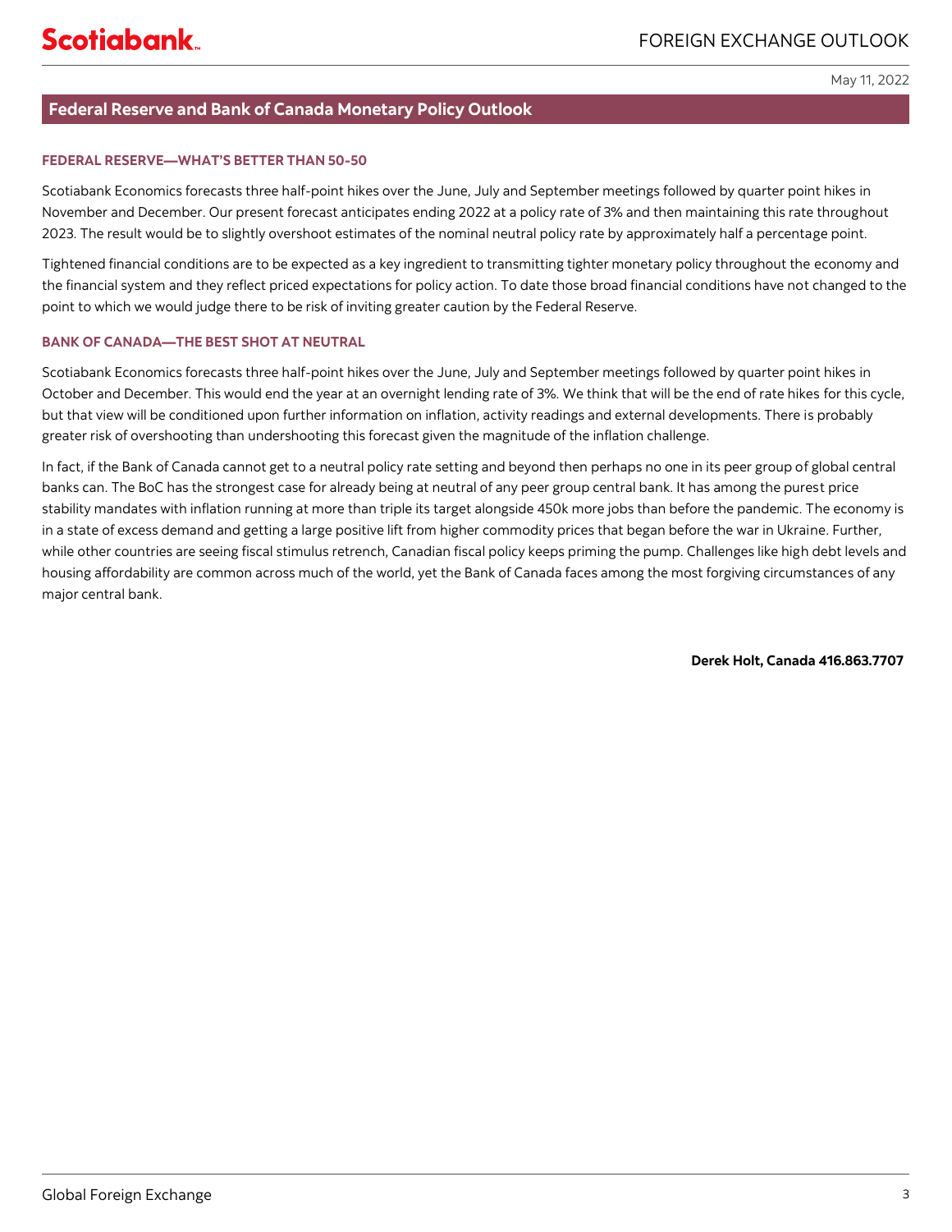# <span id="page-2-0"></span>**Federal Reserve and Bank of Canada Monetary Policy Outlook**

# **FEDERAL RESERVE—WHAT'S BETTER THAN 50-50**

Scotiabank Economics forecasts three half-point hikes over the June, July and September meetings followed by quarter point hikes in November and December. Our present forecast anticipates ending 2022 at a policy rate of 3% and then maintaining this rate throughout 2023. The result would be to slightly overshoot estimates of the nominal neutral policy rate by approximately half a percentage point.

Tightened financial conditions are to be expected as a key ingredient to transmitting tighter monetary policy throughout the economy and the financial system and they reflect priced expectations for policy action. To date those broad financial conditions have not changed to the point to which we would judge there to be risk of inviting greater caution by the Federal Reserve.

# **BANK OF CANADA—THE BEST SHOT AT NEUTRAL**

Scotiabank Economics forecasts three half-point hikes over the June, July and September meetings followed by quarter point hikes in October and December. This would end the year at an overnight lending rate of 3%. We think that will be the end of rate hikes for this cycle, but that view will be conditioned upon further information on inflation, activity readings and external developments. There is probably greater risk of overshooting than undershooting this forecast given the magnitude of the inflation challenge.

In fact, if the Bank of Canada cannot get to a neutral policy rate setting and beyond then perhaps no one in its peer group of global central banks can. The BoC has the strongest case for already being at neutral of any peer group central bank. It has among the purest price stability mandates with inflation running at more than triple its target alongside 450k more jobs than before the pandemic. The economy is in a state of excess demand and getting a large positive lift from higher commodity prices that began before the war in Ukraine. Further, while other countries are seeing fiscal stimulus retrench, Canadian fiscal policy keeps priming the pump. Challenges like high debt levels and housing affordability are common across much of the world, yet the Bank of Canada faces among the most forgiving circumstances of any major central bank.

**Derek Holt, Canada 416.863.7707**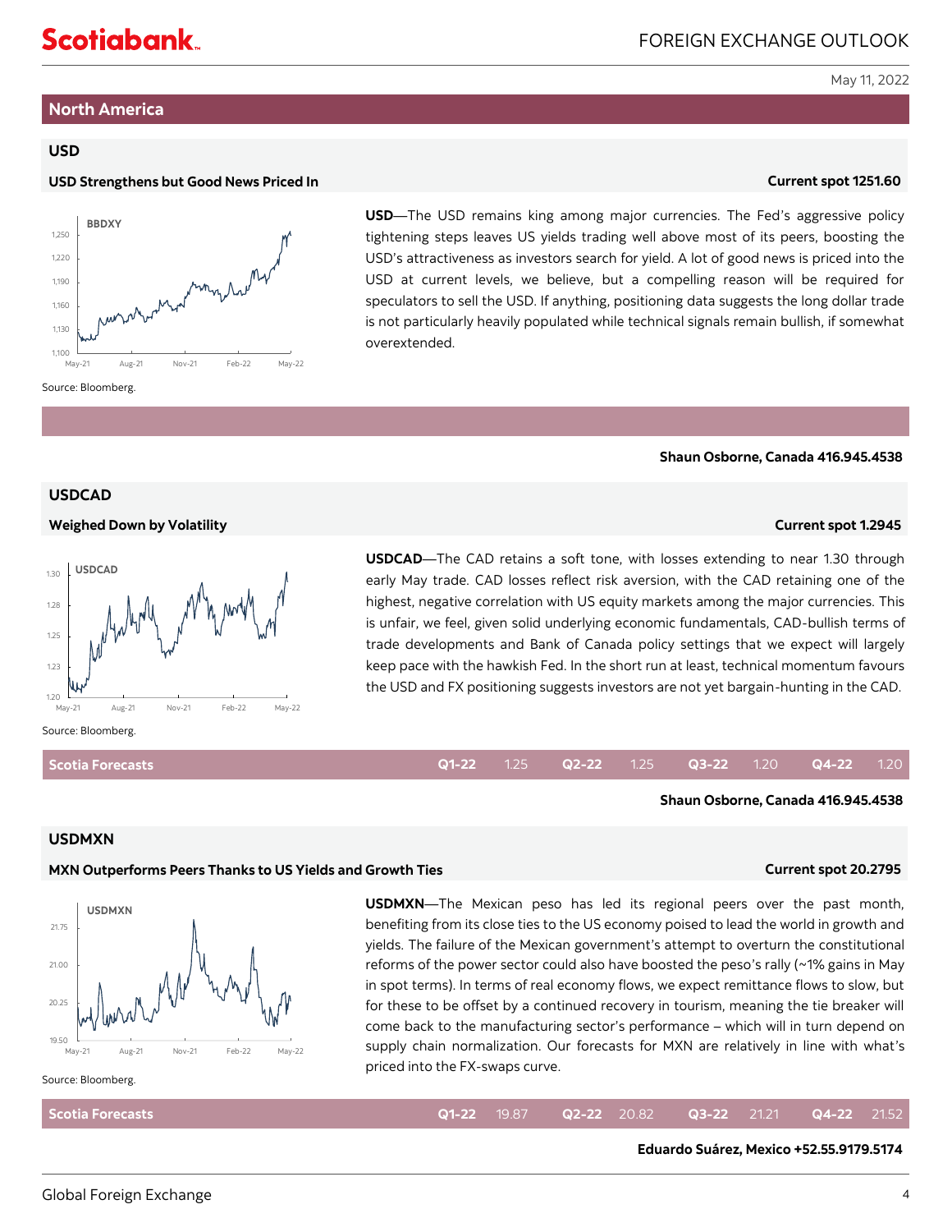# <span id="page-3-0"></span>**Scotiabank**

May 11, 2022

# **North America**

# **USD**

# **USD Strengthens but Good News Priced In Current spot 1251.60**



**USD**—The USD remains king among major currencies. The Fed's aggressive policy tightening steps leaves US yields trading well above most of its peers, boosting the USD's attractiveness as investors search for yield. A lot of good news is priced into the USD at current levels, we believe, but a compelling reason will be required for speculators to sell the USD. If anything, positioning data suggests the long dollar trade is not particularly heavily populated while technical signals remain bullish, if somewhat overextended.

### **Shaun Osborne, Canada 416.945.4538**

# **USDCAD**

### **Weighed Down by Volatility Current spot 1.2945**



**USDCAD**—The CAD retains a soft tone, with losses extending to near 1.30 through early May trade. CAD losses reflect risk aversion, with the CAD retaining one of the highest, negative correlation with US equity markets among the major currencies. This is unfair, we feel, given solid underlying economic fundamentals, CAD-bullish terms of trade developments and Bank of Canada policy settings that we expect will largely keep pace with the hawkish Fed. In the short run at least, technical momentum favours the USD and FX positioning suggests investors are not yet bargain-hunting in the CAD.

# **Scotia Forecasts**

# **Q1-22** 1.25 **Q2-22** 1.25 **Q3-22** 1.20 **Q4-22** 1.20

**Shaun Osborne, Canada 416.945.4538**

# **USDMXN**

# **MXN Outperforms Peers Thanks to US Yields and Growth Ties Current spot 20.2795**



**USDMXN**—The Mexican peso has led its regional peers over the past month, benefiting from its close ties to the US economy poised to lead the world in growth and yields. The failure of the Mexican government's attempt to overturn the constitutional reforms of the power sector could also have boosted the peso's rally (~1% gains in May in spot terms). In terms of real economy flows, we expect remittance flows to slow, but for these to be offset by a continued recovery in tourism, meaning the tie breaker will come back to the manufacturing sector's performance – which will in turn depend on supply chain normalization. Our forecasts for MXN are relatively in line with what's priced into the FX-swaps curve.

### Source: Bloomberg.

| <b>Scotia Forecasts</b> |  |  |  | <b>Q1-22</b> 19.87 <b>Q2-22</b> 20.82 <b>Q3-22</b> 21.21 <b>Q4-22</b> 21.52 |  |
|-------------------------|--|--|--|-----------------------------------------------------------------------------|--|
|                         |  |  |  |                                                                             |  |

**Eduardo Suárez, Mexico +52.55.9179.5174**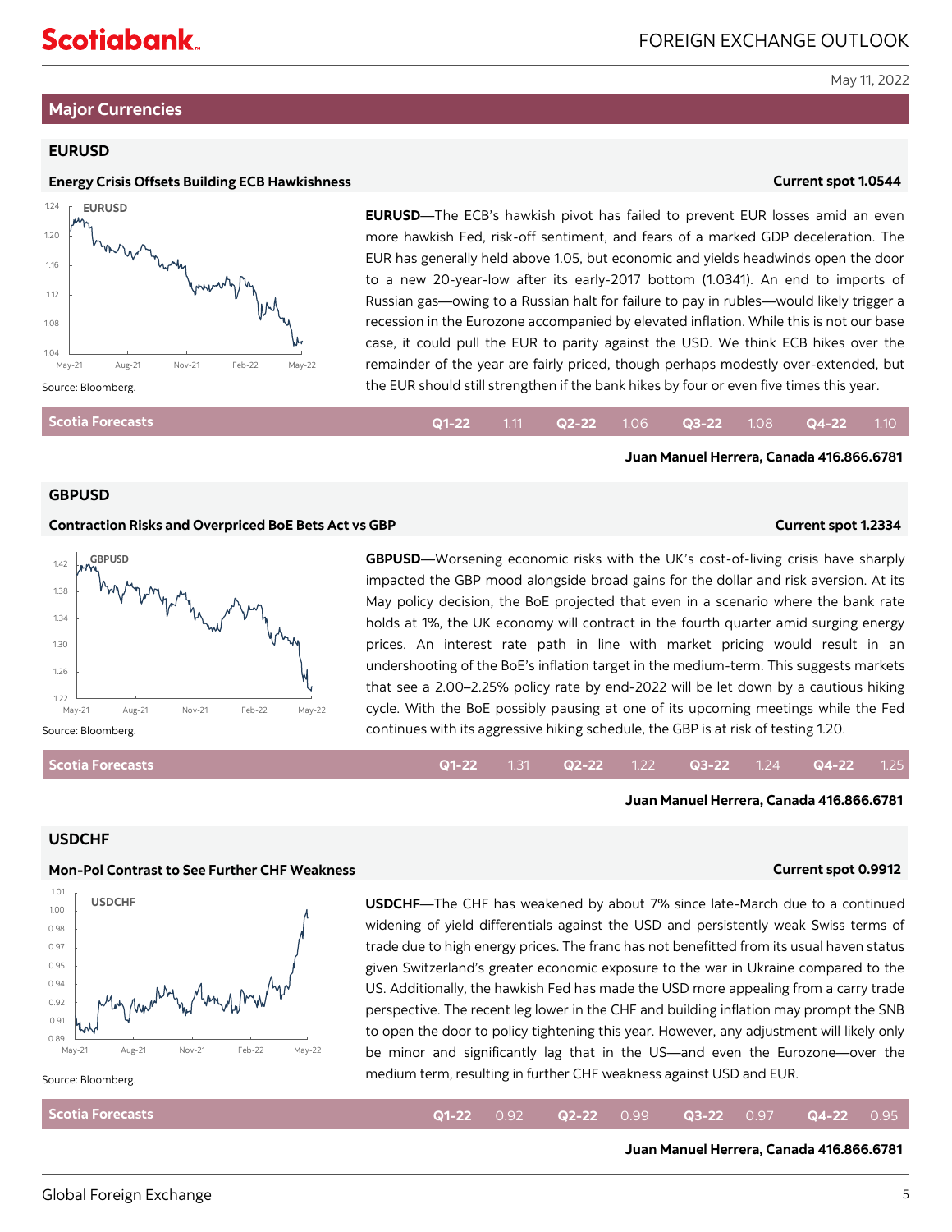# <span id="page-4-0"></span>**Major Currencies**

# **EURUSD**

### **Energy Crisis Offsets Building ECB Hawkishness Current spot 1.0544**



**EURUSD**—The ECB's hawkish pivot has failed to prevent EUR losses amid an even more hawkish Fed, risk-off sentiment, and fears of a marked GDP deceleration. The EUR has generally held above 1.05, but economic and yields headwinds open the door to a new 20-year-low after its early-2017 bottom (1.0341). An end to imports of Russian gas—owing to a Russian halt for failure to pay in rubles—would likely trigger a recession in the Eurozone accompanied by elevated inflation. While this is not our base case, it could pull the EUR to parity against the USD. We think ECB hikes over the remainder of the year are fairly priced, though perhaps modestly over-extended, but the EUR should still strengthen if the bank hikes by four or even five times this year.

| Scotia Forecasts |  |  |  | <b>Q1-22</b> 1.11 <b>Q2-22</b> 1.06 <b>Q3-22</b> 1.08 <b>Q4-22</b> 1.10 |  |
|------------------|--|--|--|-------------------------------------------------------------------------|--|
|                  |  |  |  |                                                                         |  |

### **GBPUSD**

### **Contraction Risks and Overpriced BoE Bets Act vs GBP Current spot 1.2334**

**Juan Manuel Herrera, Canada 416.866.6781**

**Juan Manuel Herrera, Canada 416.866.6781**



**GBPUSD**—Worsening economic risks with the UK's cost-of-living crisis have sharply impacted the GBP mood alongside broad gains for the dollar and risk aversion. At its May policy decision, the BoE projected that even in a scenario where the bank rate holds at 1%, the UK economy will contract in the fourth quarter amid surging energy prices. An interest rate path in line with market pricing would result in an undershooting of the BoE's inflation target in the medium-term. This suggests markets that see a 2.00–2.25% policy rate by end-2022 will be let down by a cautious hiking cycle. With the BoE possibly pausing at one of its upcoming meetings while the Fed continues with its aggressive hiking schedule, the GBP is at risk of testing 1.20.

### **Q1-22** 1.31 **Q2-22** 1.22 **Q3-22** 1.24 **Q4-22** 1.25

### **USDCHF**

**Scotia Forecasts**

### **Mon-Pol Contrast to See Further CHF Weakness Current spot 0.9912**



**USDCHF**—The CHF has weakened by about 7% since late-March due to a continued widening of yield differentials against the USD and persistently weak Swiss terms of trade due to high energy prices. The franc has not benefitted from its usual haven status given Switzerland's greater economic exposure to the war in Ukraine compared to the US. Additionally, the hawkish Fed has made the USD more appealing from a carry trade perspective. The recent leg lower in the CHF and building inflation may prompt the SNB to open the door to policy tightening this year. However, any adjustment will likely only be minor and significantly lag that in the US—and even the Eurozone—over the medium term, resulting in further CHF weakness against USD and EUR.

### Source: Bloomberg.

**Scotia Forecasts Q1-22** 0.92 **Q2-22** 0.99 **Q3-22** 0.97 **Q4-22** 0.95

### **Juan Manuel Herrera, Canada 416.866.6781**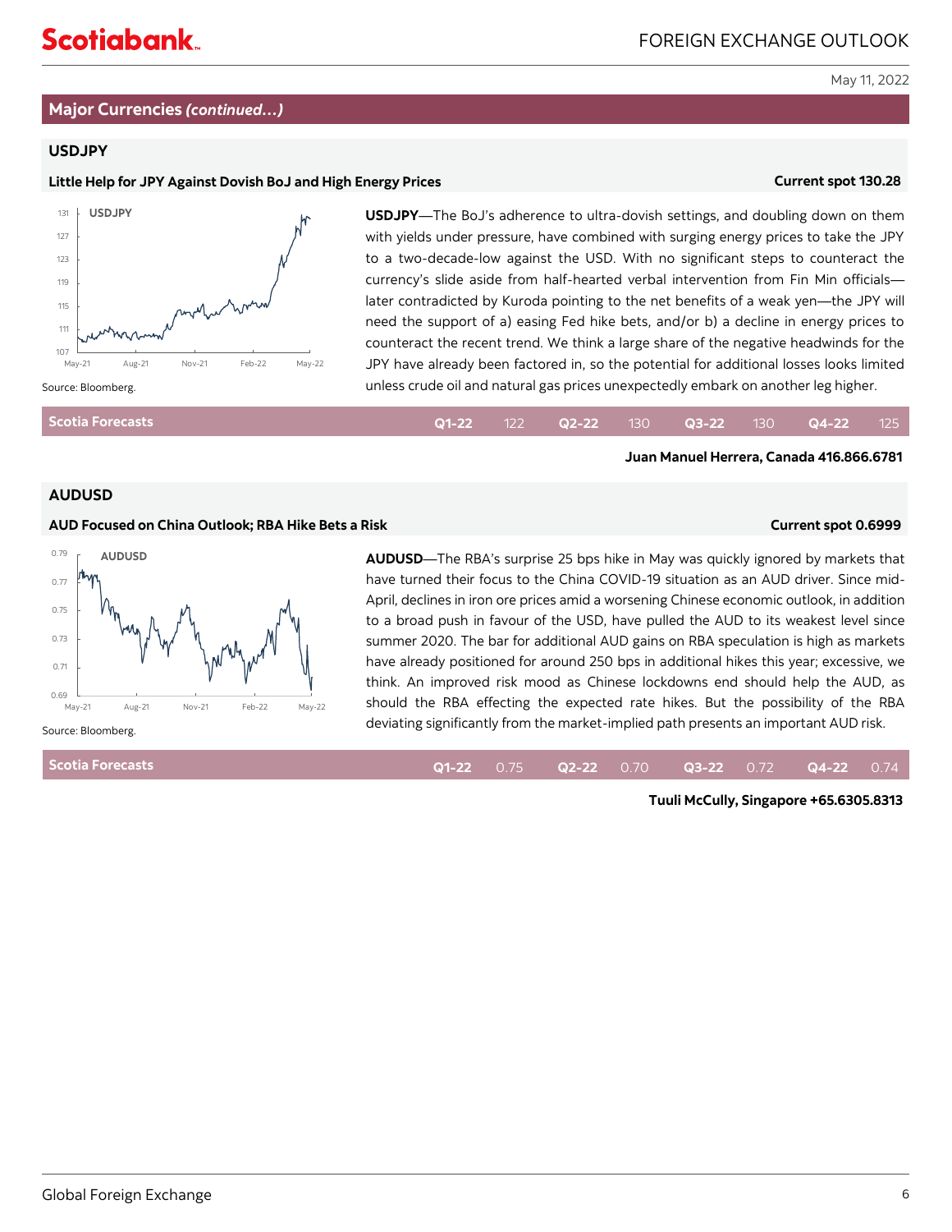# **Major Currencies** *(continued…)*

# **USDJPY**

# **Little Help for JPY Against Dovish BoJ and High Energy Prices Current spot 130.28**



**USDJPY**—The BoJ's adherence to ultra-dovish settings, and doubling down on them with yields under pressure, have combined with surging energy prices to take the JPY to a two-decade-low against the USD. With no significant steps to counteract the currency's slide aside from half-hearted verbal intervention from Fin Min officials later contradicted by Kuroda pointing to the net benefits of a weak yen—the JPY will need the support of a) easing Fed hike bets, and/or b) a decline in energy prices to counteract the recent trend. We think a large share of the negative headwinds for the JPY have already been factored in, so the potential for additional losses looks limited unless crude oil and natural gas prices unexpectedly embark on another leg higher.

| Scotia Forecasts |  |  |  | <b>Q1-22</b> 122 <b>Q2-22</b> 130 <b>Q3-22</b> 130 <b>Q4-22</b> 125 |  |
|------------------|--|--|--|---------------------------------------------------------------------|--|
|                  |  |  |  |                                                                     |  |

### **AUDUSD**

### **AUD Focused on China Outlook; RBA Hike Bets a Risk Current spot 0.6999**



have turned their focus to the China COVID-19 situation as an AUD driver. Since mid-April, declines in iron ore prices amid a worsening Chinese economic outlook, in addition to a broad push in favour of the USD, have pulled the AUD to its weakest level since summer 2020. The bar for additional AUD gains on RBA speculation is high as markets have already positioned for around 250 bps in additional hikes this year; excessive, we think. An improved risk mood as Chinese lockdowns end should help the AUD, as should the RBA effecting the expected rate hikes. But the possibility of the RBA deviating significantly from the market-implied path presents an important AUD risk.

**AUDUSD**—The RBA's surprise 25 bps hike in May was quickly ignored by markets that

**Scotia Forecasts**

**Q1-22** 0.75 **Q2-22** 0.70 **Q3-22** 0.72 **Q4-22** 0.74

**Tuuli McCully, Singapore +65.6305.8313** 

**Juan Manuel Herrera, Canada 416.866.6781**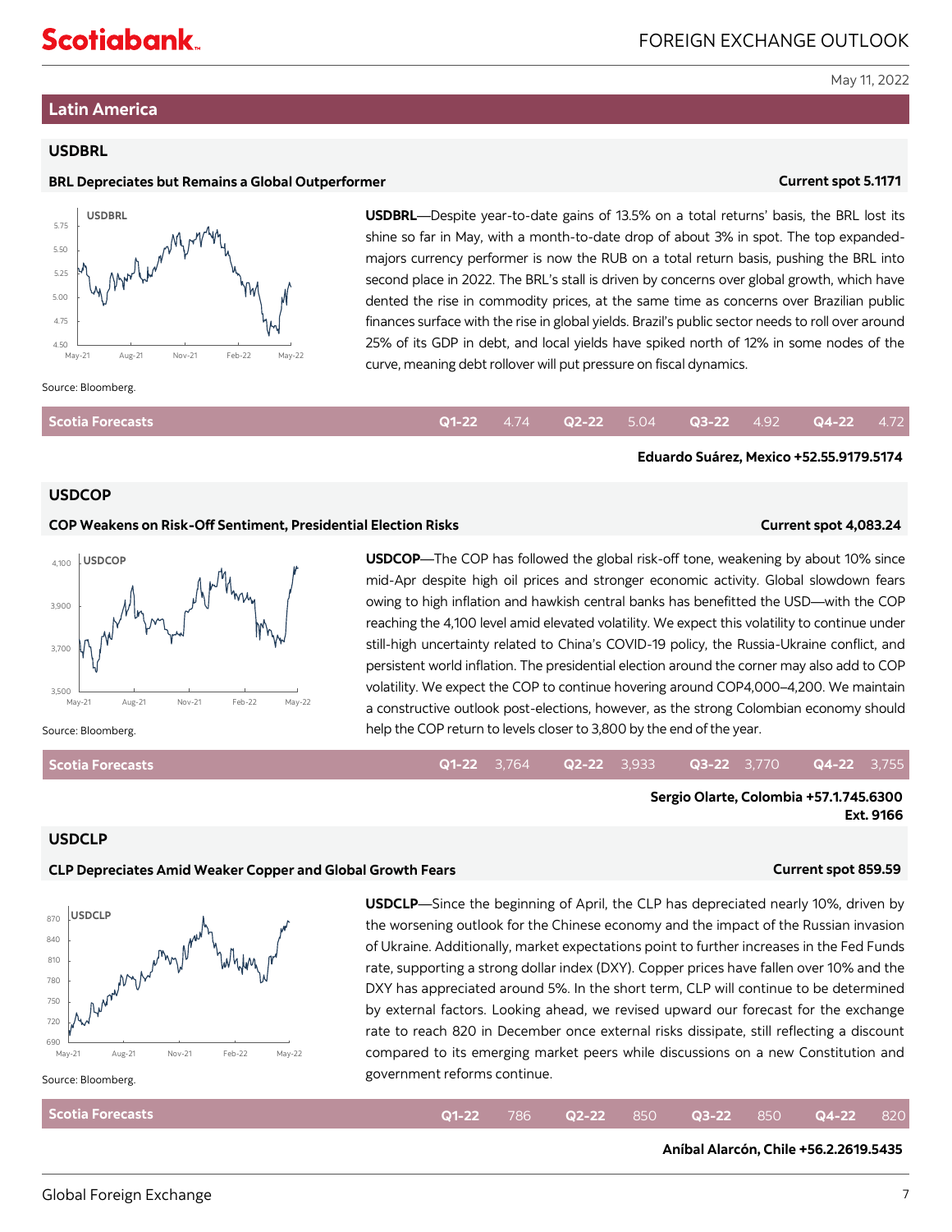# <span id="page-6-0"></span>**Latin America**

# **USDBRL**

# **BRL Depreciates but Remains a Global Outperformer Current spot 5.1171**



**USDBRL**—Despite year-to-date gains of 13.5% on a total returns' basis, the BRL lost its shine so far in May, with a month-to-date drop of about 3% in spot. The top expandedmajors currency performer is now the RUB on a total return basis, pushing the BRL into second place in 2022. The BRL's stall is driven by concerns over global growth, which have dented the rise in commodity prices, at the same time as concerns over Brazilian public finances surface with the rise in global yields. Brazil's public sector needs to roll over around 25% of its GDP in debt, and local yields have spiked north of 12% in some nodes of the curve, meaning debt rollover will put pressure on fiscal dynamics.

### Source: Bloomberg.

| <b>Scotia Forecasts</b> |  |  |  | $Q1-22$ 4.74 $Q2-22$ 5.04 $Q3-22$ 4.92 $Q4-22$ 4.72 |  |
|-------------------------|--|--|--|-----------------------------------------------------|--|
|                         |  |  |  |                                                     |  |

# **USDCOP**

### **COP Weakens on Risk-Off Sentiment, Presidential Election Risks Current spot 4,083.24**

**Eduardo Suárez, Mexico +52.55.9179.5174**



**USDCOP**—The COP has followed the global risk-off tone, weakening by about 10% since mid-Apr despite high oil prices and stronger economic activity. Global slowdown fears owing to high inflation and hawkish central banks has benefitted the USD—with the COP reaching the 4,100 level amid elevated volatility. We expect this volatility to continue under still-high uncertainty related to China's COVID-19 policy, the Russia-Ukraine conflict, and persistent world inflation. The presidential election around the corner may also add to COP volatility. We expect the COP to continue hovering around COP4,000–4,200. We maintain a constructive outlook post-elections, however, as the strong Colombian economy should help the COP return to levels closer to 3,800 by the end of the year.

### **Scotia Forecasts**

### **Q1-22** 3,764 **Q2-22** 3,933 **Q3-22** 3,770 **Q4-22** 3,755

**Sergio Olarte, Colombia +57.1.745.6300 Ext. 9166**

### **USDCLP**

# **CLP Depreciates Amid Weaker Copper and Global Growth Fears Current spot 859.59**



**USDCLP**—Since the beginning of April, the CLP has depreciated nearly 10%, driven by the worsening outlook for the Chinese economy and the impact of the Russian invasion of Ukraine. Additionally, market expectations point to further increases in the Fed Funds rate, supporting a strong dollar index (DXY). Copper prices have fallen over 10% and the DXY has appreciated around 5%. In the short term, CLP will continue to be determined by external factors. Looking ahead, we revised upward our forecast for the exchange rate to reach 820 in December once external risks dissipate, still reflecting a discount compared to its emerging market peers while discussions on a new Constitution and government reforms continue.

**Q1-22** 786 **Q2-22** 850 **Q3-22** 850 **Q4-22** 820

# **Scotia Forecasts**

**Aníbal Alarcón, Chile +56.2.2619.5435**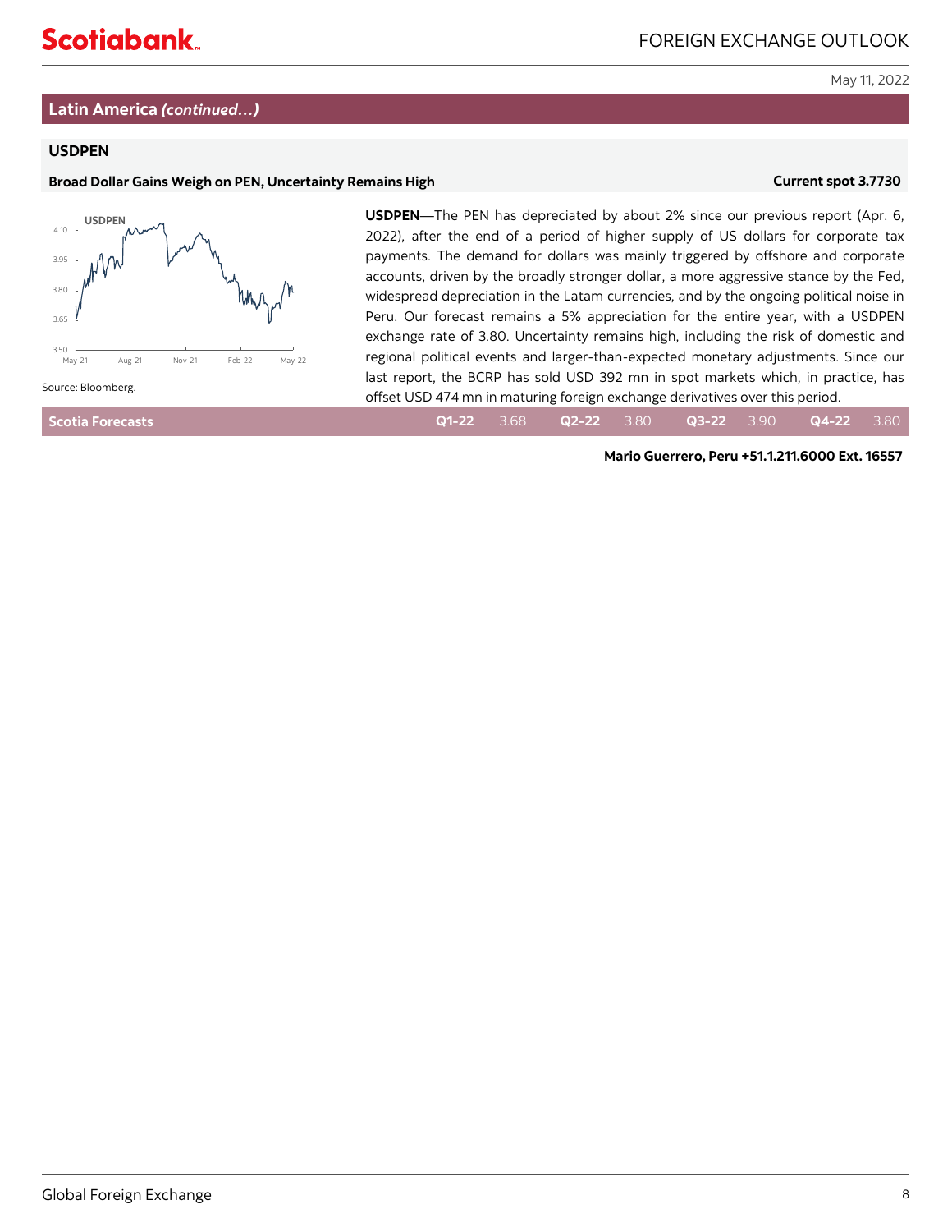# **Latin America** *(continued…)*

# **USDPEN**

# **Broad Dollar Gains Weigh on PEN, Uncertainty Remains High <b>State of Current spot 3.7730 Current spot 3.7730**



**USDPEN**—The PEN has depreciated by about 2% since our previous report (Apr. 6, 2022), after the end of a period of higher supply of US dollars for corporate tax payments. The demand for dollars was mainly triggered by offshore and corporate accounts, driven by the broadly stronger dollar, a more aggressive stance by the Fed, widespread depreciation in the Latam currencies, and by the ongoing political noise in Peru. Our forecast remains a 5% appreciation for the entire year, with a USDPEN exchange rate of 3.80. Uncertainty remains high, including the risk of domestic and regional political events and larger-than-expected monetary adjustments. Since our last report, the BCRP has sold USD 392 mn in spot markets which, in practice, has offset USD 474 mn in maturing foreign exchange derivatives over this period.

| <b>Scotia Forecasts</b> |  |  |  |  |  |  | $Q1-22$ 3.68 $Q2-22$ 3.80 $Q3-22$ 3.90 $Q4-22$ 3.80 |  |
|-------------------------|--|--|--|--|--|--|-----------------------------------------------------|--|
|-------------------------|--|--|--|--|--|--|-----------------------------------------------------|--|

**Mario Guerrero, Peru +51.1.211.6000 Ext. 16557**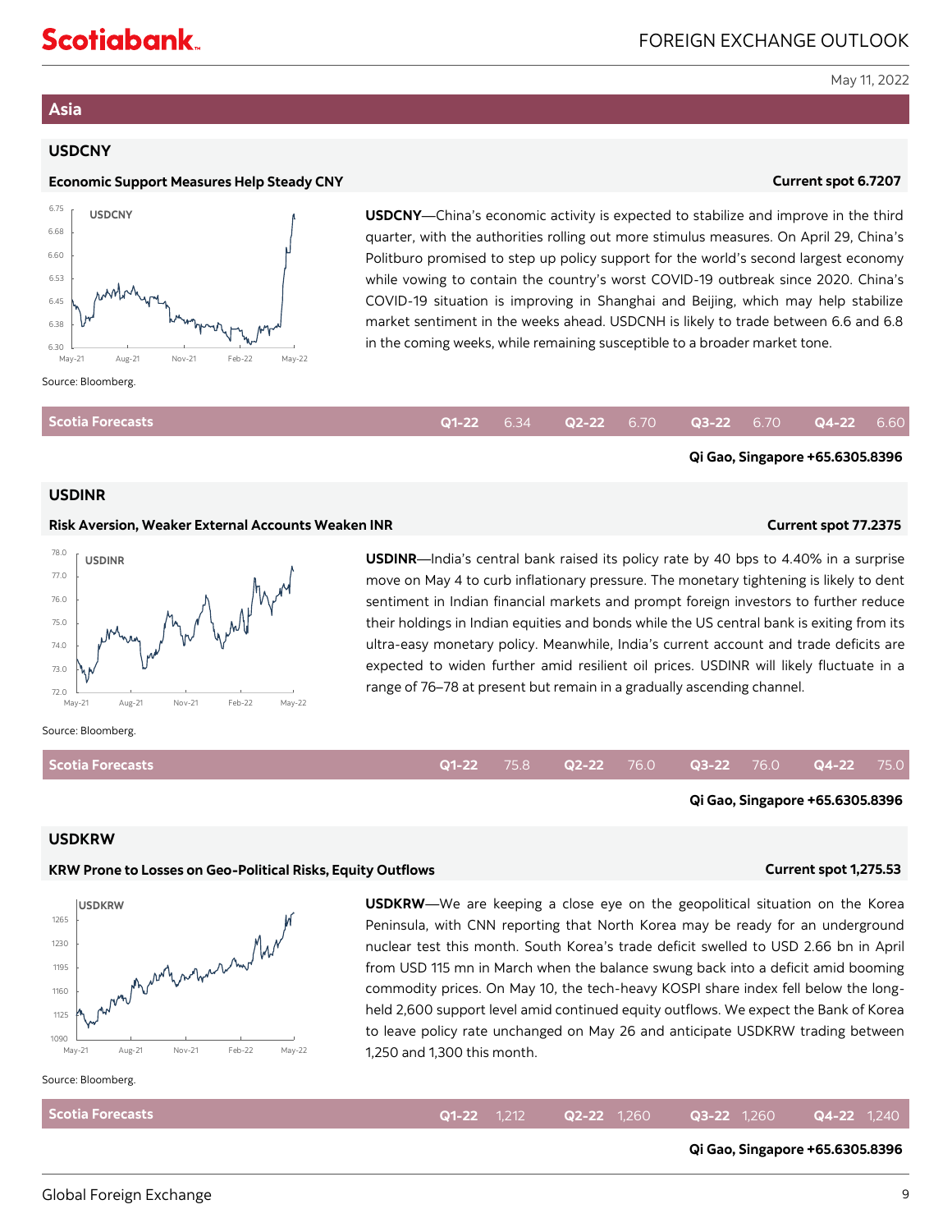# <span id="page-8-0"></span>**Asia**

# **USDCNY**

### **Economic Support Measures Help Steady CNY Current spot 6.7207 and 2012 10:00 Current spot 6.7207**



**USDCNY**—China's economic activity is expected to stabilize and improve in the third quarter, with the authorities rolling out more stimulus measures. On April 29, China's Politburo promised to step up policy support for the world's second largest economy while vowing to contain the country's worst COVID-19 outbreak since 2020. China's COVID-19 situation is improving in Shanghai and Beijing, which may help stabilize market sentiment in the weeks ahead. USDCNH is likely to trade between 6.6 and 6.8 in the coming weeks, while remaining susceptible to a broader market tone.

| Scotia Forecasts |  |  |  | $Q1-22$ 6.34 $Q2-22$ 6.70 $Q3-22$ 6.70 $Q4-22$ 6.60 |  |
|------------------|--|--|--|-----------------------------------------------------|--|
|                  |  |  |  |                                                     |  |

### **USDINR**

### **Risk Aversion, Weaker External Accounts Weaken INR Current spot 77.2375**

**Qi Gao, Singapore +65.6305.8396**

**Qi Gao, Singapore +65.6305.8396**



**USDINR**—India's central bank raised its policy rate by 40 bps to 4.40% in a surprise move on May 4 to curb inflationary pressure. The monetary tightening is likely to dent sentiment in Indian financial markets and prompt foreign investors to further reduce their holdings in Indian equities and bonds while the US central bank is exiting from its ultra-easy monetary policy. Meanwhile, India's current account and trade deficits are expected to widen further amid resilient oil prices. USDINR will likely fluctuate in a range of 76–78 at present but remain in a gradually ascending channel.

### Source: Bloomberg.

**Scotia Forecasts**

### **Q1-22** 75.8 **Q2-22** 76.0 **Q3-22** 76.0 **Q4-22** 75.0

### **USDKRW**

### **KRW Prone to Losses on Geo-Political Risks, Equity Outflows Current spot 1,275.53**



**USDKRW**—We are keeping a close eye on the geopolitical situation on the Korea Peninsula, with CNN reporting that North Korea may be ready for an underground nuclear test this month. South Korea's trade deficit swelled to USD 2.66 bn in April from USD 115 mn in March when the balance swung back into a deficit amid booming commodity prices. On May 10, the tech-heavy KOSPI share index fell below the longheld 2,600 support level amid continued equity outflows. We expect the Bank of Korea to leave policy rate unchanged on May 26 and anticipate USDKRW trading between

Source: Bloomberg.

| $May-21$                | Aug-21 | <b>Nov-21</b> | Feb-22 | May-22 | 1,250 and 1,300 this month. |                    |                    |                       |               |  |
|-------------------------|--------|---------------|--------|--------|-----------------------------|--------------------|--------------------|-----------------------|---------------|--|
| ource: Bloomberg.       |        |               |        |        |                             |                    |                    |                       |               |  |
| <b>Scotia Forecasts</b> |        |               |        |        |                             | <b>Q1-22</b> 1.212 | <b>Q2-22</b> 1,260 | $\bullet$ Q3-22 1.260 | $Q4-22$ 1,240 |  |
|                         |        |               |        |        |                             |                    |                    |                       |               |  |

### **Qi Gao, Singapore +65.6305.8396**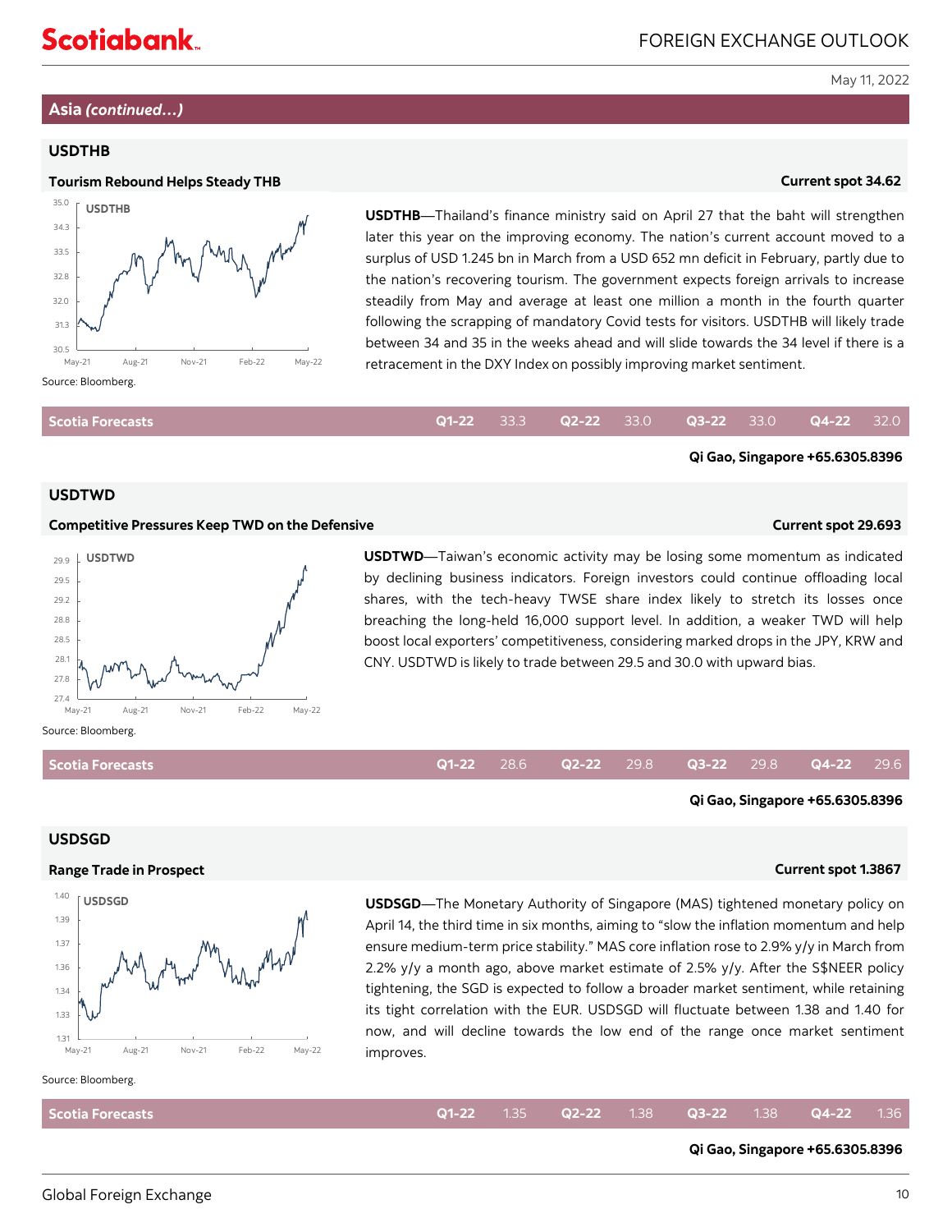# **Asia** *(continued…)*

# **USDTHB**



**USDTHB**—Thailand's finance ministry said on April 27 that the baht will strengthen later this year on the improving economy. The nation's current account moved to a surplus of USD 1.245 bn in March from a USD 652 mn deficit in February, partly due to the nation's recovering tourism. The government expects foreign arrivals to increase steadily from May and average at least one million a month in the fourth quarter following the scrapping of mandatory Covid tests for visitors. USDTHB will likely trade between 34 and 35 in the weeks ahead and will slide towards the 34 level if there is a retracement in the DXY Index on possibly improving market sentiment.

|--|

### **USDTWD**

### **Competitive Pressures Keep TWD on the Defensive Current spot 29.693**

**Qi Gao, Singapore +65.6305.8396**



**USDTWD**—Taiwan's economic activity may be losing some momentum as indicated by declining business indicators. Foreign investors could continue offloading local shares, with the tech-heavy TWSE share index likely to stretch its losses once breaching the long-held 16,000 support level. In addition, a weaker TWD will help boost local exporters' competitiveness, considering marked drops in the JPY, KRW and CNY. USDTWD is likely to trade between 29.5 and 30.0 with upward bias.

**Scotia Forecasts**

### **USDSGD**

# **Range Trade in Prospect Current spot 1.3867**



**Qi Gao, Singapore +65.6305.8396**

**USDSGD**—The Monetary Authority of Singapore (MAS) tightened monetary policy on April 14, the third time in six months, aiming to "slow the inflation momentum and help ensure medium-term price stability." MAS core inflation rose to 2.9% y/y in March from 2.2% y/y a month ago, above market estimate of 2.5% y/y. After the S\$NEER policy tightening, the SGD is expected to follow a broader market sentiment, while retaining its tight correlation with the EUR. USDSGD will fluctuate between 1.38 and 1.40 for now, and will decline towards the low end of the range once market sentiment improves. **Q1-22** 33.3 **Q2-22** 33.0 **Q3-22** 33.0 **Q4-22** 32.0 **Q4-22** 32.0 **Q1-22** 3.30 **Q1-22** 2.00 **Q1:00 G11-22 Current spot 29.693 Current spot 29.693 Current spot 20.6 <b>Current spot 20.6 <b>Current spot 20.6 Current spo** 

### Source: Bloomberg.

| Scotia Forecasts |  |  |  | <b>Q1-22</b> 1.35 <b>Q2-22</b> 1.38 <b>Q3-22</b> 1.38 <b>Q4-22</b> 1.36 |  |
|------------------|--|--|--|-------------------------------------------------------------------------|--|
|                  |  |  |  |                                                                         |  |

# **Qi Gao, Singapore +65.6305.8396**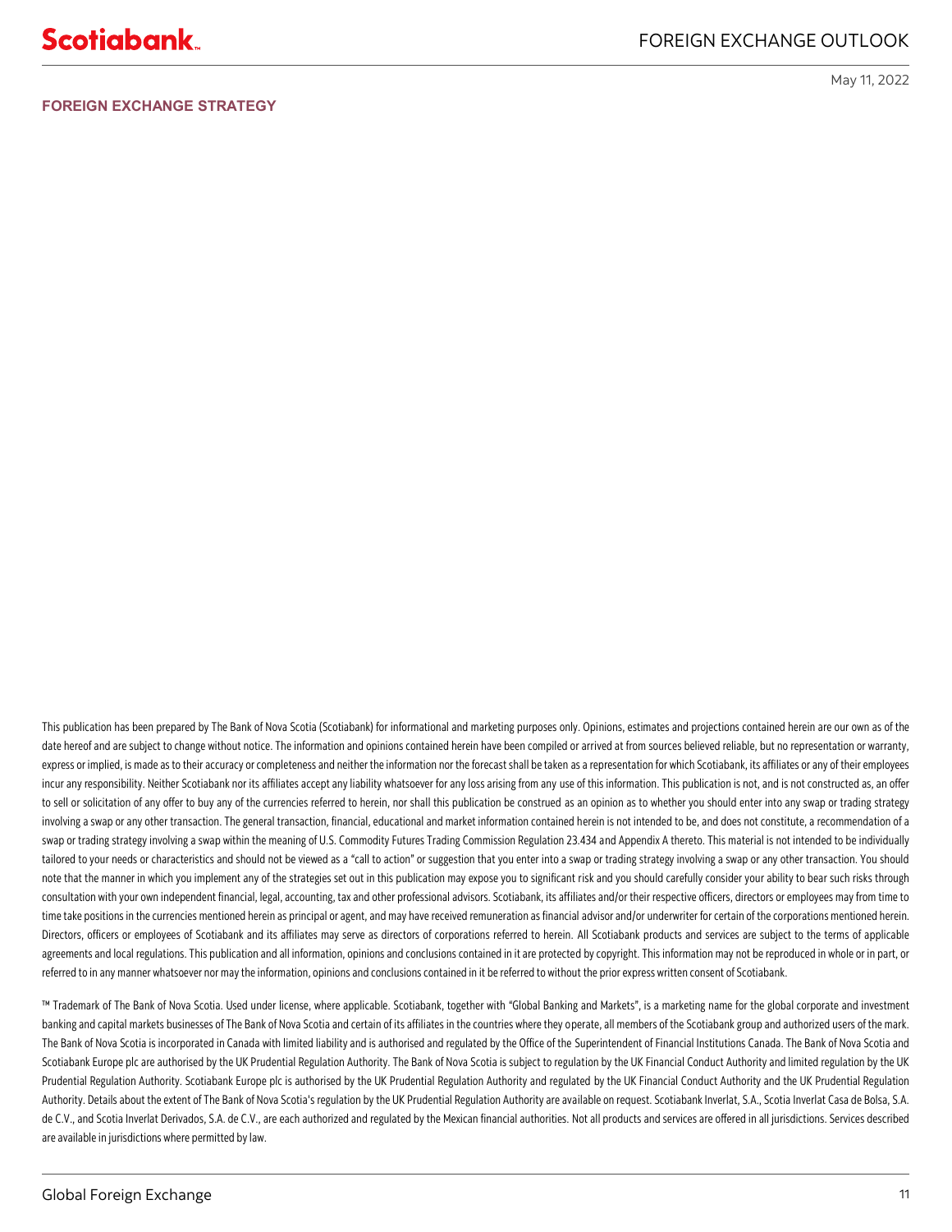**FOREIGN EXCHANGE STRATEGY**

May 11, 2022

This publication has been prepared by The Bank of Nova Scotia (Scotiabank) for informational and marketing purposes only. Opinions, estimates and projections contained herein are our own as of the date hereof and are subject to change without notice. The information and opinions contained herein have been compiled or arrived at from sources believed reliable, but no representation or warranty, express or implied, is made as to their accuracy or completeness and neither the information nor the forecast shall be taken as a representation for which Scotiabank, its affiliates or any of their employees incur any responsibility. Neither Scotiabank nor its affiliates accept any liability whatsoever for any loss arising from any use of this information. This publication is not, and is not constructed as, an offer to sell or solicitation of any offer to buy any of the currencies referred to herein, nor shall this publication be construed as an opinion as to whether you should enter into any swap or trading strategy involving a swap or any other transaction. The general transaction, financial, educational and market information contained herein is not intended to be, and does not constitute, a recommendation of a swap or trading strategy involving a swap within the meaning of U.S. Commodity Futures Trading Commission Regulation 23.434 and Appendix A thereto. This material is not intended to be individually tailored to your needs or characteristics and should not be viewed as a "call to action" or suggestion that you enter into a swap or trading strategy involving a swap or any other transaction. You should note that the manner in which you implement any of the strategies set out in this publication may expose you to significant risk and you should carefully consider your ability to bear such risks through consultation with your own independent financial, legal, accounting, tax and other professional advisors. Scotiabank, its affiliates and/or their respective officers, directors or employees may from time to time take positions in the currencies mentioned herein as principal or agent, and may have received remuneration as financial advisor and/or underwriter for certain of the corporations mentioned herein. Directors, officers or employees of Scotiabank and its affiliates may serve as directors of corporations referred to herein. All Scotiabank products and services are subject to the terms of applicable agreements and local regulations. This publication and all information, opinions and conclusions contained in it are protected by copyright. This information may not be reproduced in whole or in part, or referred to in any manner whatsoever nor may the information, opinions and conclusions contained in it be referred to without the prior express written consent of Scotiabank.

™ Trademark of The Bank of Nova Scotia. Used under license, where applicable. Scotiabank, together with "Global Banking and Markets", is a marketing name for the global corporate and investment banking and capital markets businesses of The Bank of Nova Scotia and certain of its affiliates in the countries where they operate, all members of the Scotiabank group and authorized users of the mark. The Bank of Nova Scotia is incorporated in Canada with limited liability and is authorised and regulated by the Office of the Superintendent of Financial Institutions Canada. The Bank of Nova Scotia and Scotiabank Europe plc are authorised by the UK Prudential Regulation Authority. The Bank of Nova Scotia is subject to regulation by the UK Financial Conduct Authority and limited regulation by the UK Prudential Regulation Authority. Scotiabank Europe plc is authorised by the UK Prudential Regulation Authority and regulated by the UK Financial Conduct Authority and the UK Prudential Regulation Authority. Details about the extent of The Bank of Nova Scotia's regulation by the UK Prudential Regulation Authority are available on request. Scotiabank Inverlat, S.A., Scotia Inverlat Casa de Bolsa, S.A. de C.V., and Scotia Inverlat Derivados, S.A. de C.V., are each authorized and regulated by the Mexican financial authorities. Not all products and services are offered in all jurisdictions. Services described are available in jurisdictions where permitted by law.